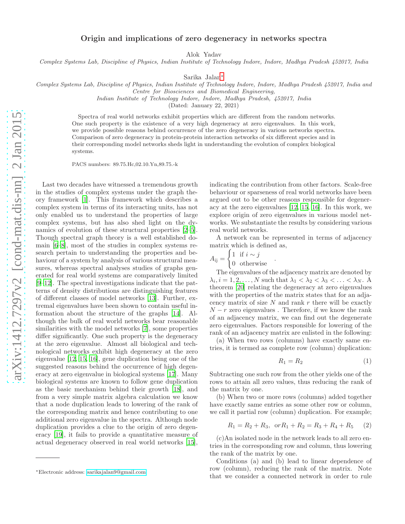## Origin and implications of zero degeneracy in networks spectra

Alok Yadav

*Complex Systems Lab, Discipline of Physics, Indian Institute of Technology Indore, Indore, Madhya Pradesh 452017, India*

Sarika Jalan[∗](#page-0-0)

*Complex Systems Lab, Discipline of Physics, Indian Institute of Technology Indore, Indore, Madhya Pradesh 452017, India and*

*Centre for Biosciences and Biomedical Engineering,*

*Indian Institute of Technology Indore, Indore, Madhya Pradesh, 452017, India*

(Dated: January 22, 2021)

Spectra of real world networks exhibit properties which are different from the random networks. One such property is the existence of a very high degeneracy at zero eigenvalues. In this work, we provide possible reasons behind occurrence of the zero degeneracy in various networks spectra. Comparison of zero degeneracy in protein-protein interaction networks of six different species and in their corresponding model networks sheds light in understanding the evolution of complex biological systems.

PACS numbers: 89.75.Hc,02.10.Yn,89.75.-k

Last two decades have witnessed a tremendous growth in the studies of complex systems under the graph theory framework [\[1](#page-4-0)]. This framework which describes a complex system in terms of its interacting units, has not only enabled us to understand the properties of large complex systems, but has also shed light on the dynamics of evolution of these structural properties  $[2-5]$ . Though spectral graph theory is a well established domain [\[6–](#page-4-3)[8\]](#page-4-4), most of the studies in complex systems research pertain to understanding the properties and behaviour of a system by analysis of various structural measures, whereas spectral analyses studies of graphs generated for real world systems are comparatively limited [\[9](#page-4-5)[–12\]](#page-4-6). The spectral investigations indicate that the patterns of density distributions are distinguishing features of different classes of model networks [\[13\]](#page-4-7). Further, extremal eigenvalues have been shown to contain useful information about the structure of the graphs [\[14](#page-4-8)]. Although the bulk of real world networks bear reasonable similarities with the model networks [\[7](#page-4-9)], some properties differ significantly. One such property is the degeneracy at the zero eigenvalue. Almost all biological and technological networks exhibit high degeneracy at the zero eigenvalue [\[12](#page-4-6), [15](#page-4-10), [16](#page-4-11)], gene duplication being one of the suggested reasons behind the occurrence of high degeneracy at zero eigenvalue in biological systems [\[17\]](#page-4-12). Many biological systems are known to follow gene duplication as the basic mechanism behind their growth [\[18\]](#page-4-13), and from a very simple matrix algebra calculation we know that a node duplication leads to lowering of the rank of the corresponding matrix and hence contributing to one additional zero eigenvalue in the spectra. Although node duplication provides a clue to the origin of zero degeneracy [\[19\]](#page-4-14), it fails to provide a quantitative measure of actual degeneracy observed in real world networks [\[15\]](#page-4-10),

indicating the contribution from other factors. Scale-free behaviour or sparseness of real world networks have been argued out to be other reasons responsible for degeneracy at the zero eigenvalues [\[12,](#page-4-6) [15,](#page-4-10) [16\]](#page-4-11). In this work, we explore origin of zero eigenvalues in various model networks. We substantiate the results by considering various real world networks.

A network can be represented in terms of adjacency matrix which is defined as,

.

$$
A_{ij} = \begin{cases} 1 & \text{if } i \sim j \\ 0 & \text{otherwise} \end{cases}
$$

The eigenvalues of the adjacency matrix are denoted by  $\lambda_i, i = 1, 2, \dots, N$  such that  $\lambda_1 < \lambda_2 < \lambda_3 < \dots < \lambda_N$ . A theorem [\[20\]](#page-4-15) relating the degeneracy at zero eigenvalues with the properties of the matrix states that for an adjacency matrix of size  $N$  and rank  $r$  there will be exactly  $N-r$  zero eigenvalues. Therefore, if we know the rank of an adjacency matrix, we can find out the degenerate zero eigenvalues. Factors responsible for lowering of the rank of an adjacency matrix are enlisted in the following:

(a) When two rows (columns) have exactly same entries, it is termed as complete row (column) duplication:

<span id="page-0-1"></span>
$$
R_1 = R_2 \tag{1}
$$

Subtracting one such row from the other yields one of the rows to attain all zero values, thus reducing the rank of the matrix by one.

(b) When two or more rows (columns) added together have exactly same entries as some other row or column, we call it partial row (column) duplication. For example;

<span id="page-0-2"></span>
$$
R_1 = R_2 + R_3, \text{ or } R_1 + R_2 = R_3 + R_4 + R_5 \qquad (2)
$$

(c)An isolated node in the network leads to all zero entries in the corresponding row and column, thus lowering the rank of the matrix by one.

Conditions (a) and (b) lead to linear dependence of row (column), reducing the rank of the matrix. Note that we consider a connected network in order to rule

<span id="page-0-0"></span><sup>∗</sup>Electronic address: [sarikajalan9@gmail.com](mailto:sarikajalan9@gmail.com)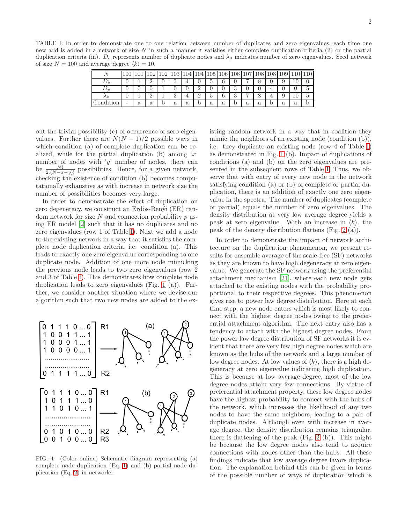<span id="page-1-0"></span>TABLE I: In order to demonstrate one to one relation between number of duplicates and zero eigenvalues, each time one new add is added in a network of size N in such a manner it satisfies either complete duplication criteria (ii) or the partial duplication criteria (iii).  $D_c$  represents number of duplicate nodes and  $\lambda_0$  indicates number of zero eigenvalues. Seed network of size  $N = 100$  and average degree  $\langle k \rangle = 10$ .

|                                       | .001 | 1 <sub>01</sub> | 109              | 109<br>υZ | 103 | 104 | 104           | 105 | <b>106</b> | 106           | 107 | 108 | 108 | 109     | πv |                          |
|---------------------------------------|------|-----------------|------------------|-----------|-----|-----|---------------|-----|------------|---------------|-----|-----|-----|---------|----|--------------------------|
| $\mathcal{L}_c$                       |      |                 | $\ddot{\bullet}$ |           | ಀ   |     |               | υ   | ົ<br>O     |               | ∽   | O   |     | υ       | ΠU | v                        |
|                                       |      |                 |                  |           |     |     | ↵             |     |            | $\Omega$<br>υ |     |     |     |         | υ  | ►<br>$\overline{ }$<br>€ |
| $\lambda$ 0                           |      |                 | $\ddot{\bullet}$ |           | ◡   |     | $\Omega$<br>↵ | υ   | ົ<br>b     | $\Omega$<br>◡ | ∽   |     |     | $\cdot$ | 10 | $\check{}$<br>∽<br>€     |
| $\rm{ondition}$<br>$\curvearrowright$ | -    | a               | a                |           | a   | a   | O.            | a   | a          | IJ            | a   | a   | IJ  | a       | a  | D                        |

out the trivial possibility (c) of occurrence of zero eigenvalues. Further there are  $N(N-1)/2$  possible ways in which condition (a) of complete duplication can be realized, while for the partial duplication (b) among  $x'$ number of nodes with 'y' number of nodes, there can be  $\frac{N!}{2.(N-x-y)!}$  possibilities. Hence, for a given network, checking the existence of condition (b) becomes computationally exhaustive as with increase in network size the number of possibilities becomes very large.

In order to demonstrate the effect of duplication on zero degeneracy, we construct an Erdös-Renýi (ER) random network for size  $N$  and connection probability  $p$  using ER model [\[2\]](#page-4-1) such that it has no duplicates and no zero eigenvalues (row 1 of Table [I\)](#page-1-0). Next we add a node to the existing network in a way that it satisfies the complete node duplication criteria, i.e. condition (a). This leads to exactly one zero eigenvalue corresponding to one duplicate node. Addition of one more node mimicking the previous node leads to two zero eigenvalues (row 2 and 3 of Table [I\)](#page-1-0). This demonstrates how complete node duplication leads to zero eigenvalues (Fig. [1](#page-1-1) (a)). Further, we consider another situation where we devise our algorithm such that two new nodes are added to the ex-



<span id="page-1-1"></span>FIG. 1: (Color online) Schematic diagram representing (a) complete node duplication (Eq. [1\)](#page-0-1) and (b) partial node duplication (Eq. [2\)](#page-0-2) in networks.

isting random network in a way that in coalition they mimic the neighbors of an existing node (condition (b)), i.e. they duplicate an existing node (row 4 of Table [I\)](#page-1-0) as demonstrated in Fig. [1](#page-1-1) (b). Impact of duplications of conditions (a) and (b) on the zero eigenvalues are presented in the subsequent rows of Table [I.](#page-1-0) Thus, we observe that with entry of every new node in the network satisfying condition (a) or (b) of complete or partial duplication, there is an addition of exactly one zero eigenvalue in the spectra. The number of duplicates (complete or partial) equals the number of zero eigenvalues. The density distribution at very low average degree yields a peak at zero eigenvalue. With an increase in  $\langle k \rangle$ , the peak of the density distribution flattens (Fig. [2](#page-2-0) (a)).

In order to demonstrate the impact of network architecture on the duplication phenomenon, we present results for ensemble average of the scale-free (SF) networks as they are known to have high degeneracy at zero eigenvalue. We generate the SF network using the preferential attachment mechanism [\[21](#page-4-16)], where each new node gets attached to the existing nodes with the probability proportional to their respective degrees. This phenomenon gives rise to power law degree distribution. Here at each time step, a new node enters which is most likely to connect with the highest degree nodes owing to the preferential attachment algorithm. The next entry also has a tendency to attach with the highest degree nodes. From the power law degree distribution of SF networks it is evident that there are very few high degree nodes which are known as the hubs of the network and a large number of low degree nodes. At low values of  $\langle k \rangle$ , there is a high degeneracy at zero eigenvalue indicating high duplication. This is because at low average degree, most of the low degree nodes attain very few connections. By virtue of preferential attachment property, these low degree nodes have the highest probability to connect with the hubs of the network, which increases the likelihood of any two nodes to have the same neighbors, leading to a pair of duplicate nodes. Although even with increase in average degree, the density distribution remains triangular, there is flattening of the peak (Fig. [2](#page-2-0) (b)). This might be because the low degree nodes also tend to acquire connections with nodes other than the hubs. All these findings indicate that low average degree favors duplication. The explanation behind this can be given in terms of the possible number of ways of duplication which is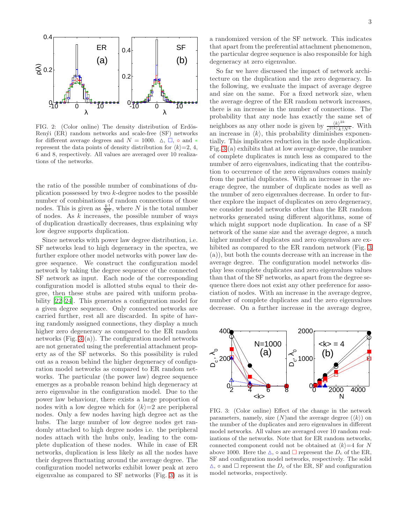

<span id="page-2-0"></span>FIG. 2: (Color online) The density distribution of Erdös-Renýi (ER) random networks and scale-free (SF) networks for different average degrees and  $N = 1000$ .  $\Delta$ ,  $\Box$ ,  $\circ$  and  $*$ represent the data points of density distribution for  $\langle k \rangle = 2, 4,$ 6 and 8, respectively. All values are averaged over 10 realizations of the networks.

the ratio of the possible number of combinations of duplication possessed by two k-degree nodes to the possible number of combinations of random connections of those nodes. This is given as  $\frac{k!}{N^k}$ , where N is the total number of nodes. As  $k$  increases, the possible number of ways of duplication drastically decreases, thus explaining why low degree supports duplication.

Since networks with power law degree distribution, i.e. SF networks lead to high degeneracy in the spectra, we further explore other model networks with power law degree sequence. We construct the configuration model network by taking the degree sequence of the connected SF network as input. Each node of the corresponding configuration model is allotted stubs equal to their degree, then these stubs are paired with uniform probability [\[22](#page-4-17)[–24](#page-4-18)]. This generates a configuration model for a given degree sequence. Only connected networks are carried further, rest all are discarded. In spite of having randomly assigned connections, they display a much higher zero degeneracy as compared to the ER random networks (Fig. [3](#page-2-1) (a)). The configuration model networks are not generated using the preferential attachment property as of the SF networks. So this possibility is ruled out as a reason behind the higher degeneracy of configuration model networks as compared to ER random networks. The particular (the power law) degree sequence emerges as a probable reason behind high degeneracy at zero eigenvalue in the configuration model. Due to the power law behaviour, there exists a large proportion of nodes with a low degree which for  $\langle k \rangle = 2$  are peripheral nodes. Only a few nodes having high degree act as the hubs. The large number of low degree nodes get randomly attached to high degree nodes i.e. the peripheral nodes attach with the hubs only, leading to the complete duplication of these nodes. While in case of ER networks, duplication is less likely as all the nodes have their degrees fluctuating around the average degree. The configuration model networks exhibit lower peak at zero eigenvalue as compared to SF networks (Fig. [3\)](#page-2-1) as it is

a randomized version of the SF network. This indicates that apart from the preferential attachment phenomenon, the particular degree sequence is also responsible for high degeneracy at zero eigenvalue.

So far we have discussed the impact of network architecture on the duplication and the zero degeneracy. In the following, we evaluate the impact of average degree and size on the same. For a fixed network size, when the average degree of the ER random network increases, there is an increase in the number of connections. The probability that any node has exactly the same set of neighbors as any other node is given by  $\frac{\langle k \rangle^{2k}}{e^{2\langle k \rangle}k!}$  $\frac{\binom{K}{k}}{e^{2\langle k \rangle}k!N^k}$ . With an increase in  $\langle k \rangle$ , this probability diminishes exponentially. This implicates reduction in the node duplication. Fig. [3](#page-2-1) (a) exhibits that at low average degree, the number of complete duplicates is much less as compared to the number of zero eigenvalues, indicating that the contribution to occurrence of the zero eigenvalues comes mainly from the partial duplicates. With an increase in the average degree, the number of duplicate nodes as well as the number of zero eigenvalues decrease. In order to further explore the impact of duplicates on zero degeneracy, we consider model networks other than the ER random networks generated using different algorithms, some of which might support node duplication. In case of a SF network of the same size and the average degree, a much higher number of duplicates and zero eigenvalues are exhibited as compared to the ER random network (Fig. [3](#page-2-1) (a)), but both the counts decrease with an increase in the average degree. The configuration model networks display less complete duplicates and zero eigenvalues values than that of the SF networks, as apart from the degree sequence there does not exist any other preference for association of nodes. With an increase in the average degree, number of complete duplicates and the zero eigenvalues decrease. On a further increase in the average degree,



<span id="page-2-1"></span>FIG. 3: (Color online) Effect of the change in the network parameters, namely, size  $(N)$  and the average degree  $(\langle k \rangle)$  on the number of the duplicates and zero eigenvalues in different model networks. All values are averaged over 10 random realizations of the networks. Note that for ER random networks, connected component could not be obtained at  $\langle k \rangle = 4$  for N above 1000. Here the  $\Delta$ ,  $\circ$  and  $\square$  represent the  $D_c$  of the ER, SF and configuration model networks, respectively. The solid  $\Delta$ ,  $\circ$  and  $\Box$  represent the  $D_c$  of the ER, SF and configuration model networks, respectively.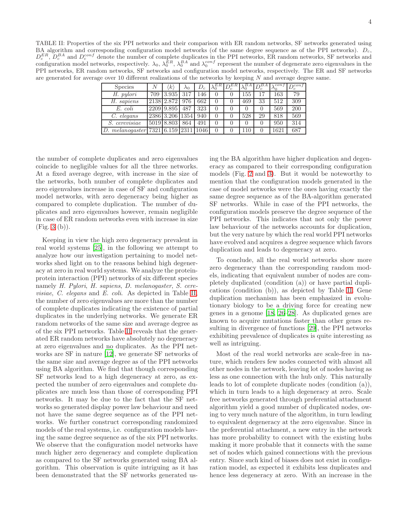<span id="page-3-0"></span>TABLE II: Properties of the six PPI networks and their comparison with ER random networks, SF networks generated using BA algorithm and corresponding configuration model networks (of the same degree sequence as of the PPI networks).  $D_c$ ,  $D_c^{ER}$ ,  $D_c^{BA}$  and  $D_c^{conf}$  denote the number of complete duplicates in the PPI networks, ER random networks, SF networks and configuration model networks, respectively.  $\lambda_0$ ,  $\lambda_0^{\bar{E}R}$ ,  $\lambda_0^{BA}$  and  $\lambda_0^{conf}$  represent the number of degenerate zero eigenvalues in the PPI networks, ER random networks, SF networks and configuration model networks, respectively. The ER and SF networks are generated for average over 10 different realizations of the networks by keeping N and average degree same.

| <b>Species</b>                         | N   | k               | $\lambda$ 0 | $D_c$ | ЕR               | $D_c^{ER}$       | BА   |    | con f | $\Gamma$ cont |
|----------------------------------------|-----|-----------------|-------------|-------|------------------|------------------|------|----|-------|---------------|
| H. pylori                              | 709 | 3.935           | 317         | 146   | D                |                  | . 55 | 17 | 163   | 79            |
| H. sapiens                             |     | 2138 2.872      | 976         | 662   | J.               |                  | 469  | 33 | 512   | 309           |
| E. coli                                |     | 2209 9.895      | 487         | 323   | J.               |                  |      | 0  | 569   | 200           |
| C. elegans                             |     | 2386 3.206 1354 |             | 940   | D                |                  | 528  | 29 | 818   | 569           |
| <i>S.</i> cerevisiae                   |     | 5019 8.803      | 864         | 491   | D                | $\left( \right)$ |      | 0  | 950   | 314           |
| D. melanogaster [7321 6.159 2311 1046] |     |                 |             |       | $\left( \right)$ |                  | 110  | 0  | 1621  | 687           |

the number of complete duplicates and zero eigenvalues coincide to negligible values for all the three networks. At a fixed average degree, with increase in the size of the networks, both number of complete duplicates and zero eigenvalues increase in case of SF and configuration model networks, with zero degeneracy being higher as compared to complete duplication. The number of duplicates and zero eigenvalues however, remain negligible in case of ER random networks even with increase in size (Fig. [3](#page-2-1) (b)).

Keeping in view the high zero degeneracy prevalent in real world systems [\[25\]](#page-4-19), in the following we attempt to analyze how our investigation pertaining to model networks shed light on to the reasons behind high degeneracy at zero in real world systems. We analyze the proteinprotein interaction (PPI) networks of six different species namely H. Pylori, H. sapiens, D. melanogaster, S. cerevisiae, C. elegans and E. coli. As depicted in Table [II,](#page-3-0) the number of zero eigenvalues are more than the number of complete duplicates indicating the existence of partial duplicates in the underlying networks. We generate ER random networks of the same size and average degree as of the six PPI networks. Table [II](#page-3-0) reveals that the generated ER random networks have absolutely no degeneracy at zero eigenvalues and no duplicates. As the PPI networks are SF in nature [\[12](#page-4-6)], we generate SF networks of the same size and average degree as of the PPI networks using BA algorithm. We find that though corresponding SF networks lead to a high degeneracy at zero, as expected the number of zero eigenvalues and complete duplicates are much less than those of corresponding PPI networks. It may be due to the fact that the SF networks so generated display power law behaviour and need not have the same degree sequence as of the PPI networks. We further construct corresponding randomized models of the real systems, i.e. configuration models having the same degree sequence as of the six PPI networks. We observe that the configuration model networks have much higher zero degeneracy and complete duplication as compared to the SF networks generated using BA algorithm. This observation is quite intriguing as it has been demonstrated that the SF networks generated using the BA algorithm have higher duplication and degeneracy as compared to their corresponding configuration models (Fig. [2](#page-2-0) and [3\)](#page-2-1). But it would be noteworthy to mention that the configuration models generated in the case of model networks were the ones having exactly the same degree sequence as of the BA-algorithm generated SF networks. While in case of the PPI networks, the configuration models preserve the degree sequence of the PPI networks. This indicates that not only the power law behaviour of the networks accounts for duplication, but the very nature by which the real world PPI networks have evolved and acquires a degree sequence which favors duplication and leads to degeneracy at zero.

To conclude, all the real world networks show more zero degeneracy than the corresponding random models, indicating that equivalent number of nodes are completely duplicated (condition (a)) or have partial duplications (condition (b)), as depicted by Table [II.](#page-3-0) Gene duplication mechanism has been emphasized in evolutionary biology to be a driving force for creating new genes in a genome [\[18](#page-4-13), [26](#page-4-20)[–28\]](#page-4-21). As duplicated genes are known to acquire mutations faster than other genes resulting in divergence of functions [\[29](#page-4-22)], the PPI networks exhibiting prevalence of duplicates is quite interesting as well as intriguing.

Most of the real world networks are scale-free in nature, which renders few nodes connected with almost all other nodes in the network, leaving lot of nodes having as less as one connection with the hub only. This naturally leads to lot of complete duplicate nodes (condition (a)), which in turn leads to a high degeneracy at zero. Scale free networks generated through preferential attachment algorithm yield a good number of duplicated nodes, owing to very much nature of the algorithm, in turn leading to equivalent degeneracy at the zero eigenvalue. Since in the preferential attachment, a new entry in the network has more probability to connect with the existing hubs making it more probable that it connects with the same set of nodes which gained connections with the previous entry. Since such kind of biases does not exist in configuration model, as expected it exhibits less duplicates and hence less degeneracy at zero. With an increase in the